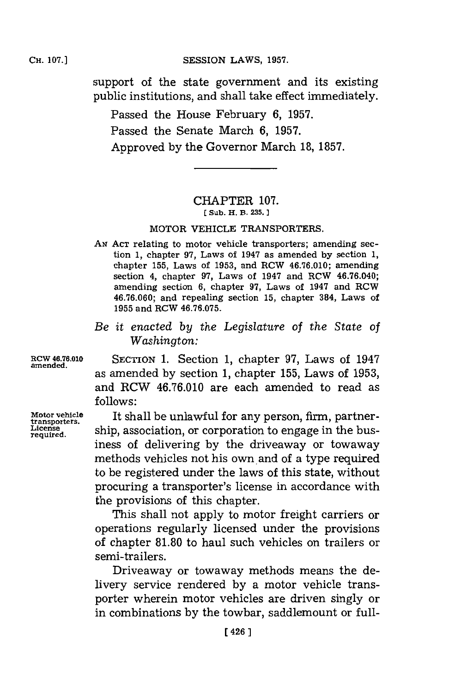## **CESSION LAWS, 1957.**

support of the state government and its existing public institutions, and shall take effect immediately.

Passed the House February **6, 1957.** Passed the Senate March **6, 1957.** Approved **by** the Governor March **18, 1857.**

## CHAPTER **107. [ Sub. K. B. 235.]1**

## **MOTOR VEHICLE TRANSPORTERS.**

- AN Acr relating to motor vehicle transporters; amending section **1,** chapter **97,** Laws of 1947 as amended **by** section **1,** chapter **155,** Laws of **1953,** and RCW **46.76.010;** amending section 4, chapter **97,** Laws of 1947 and RCW 46.76.040; amending section **6,** chapter **97,** Laws of 1947 and RCW **46.76.060;** and repealing section **15,** chapter 384, Laws of **1955** and RCW **46.76.075.**
- *Be it enacted by the Legislature of the State of Washington:*

**RCW 46.76.010 amended.**

**Motor vehicle transporters. License required .**

SECTION **1.** Section **1,** chapter **97,** Laws of 1947 as amended **by** section **1,** chapter **155,** Laws of **1953,** and RCW **46.76.010** are each amended to read as **follows:**

It shall be unlawful for any person, firm, partnership, association, or corporation to engage in the business of delivering **by** the driveaway or towaway methods vehicles not his own and of a type required to be registered under the laws of this state, without procuring a transporter's license in accordance with the provisions of this chapter.

This shall not apply to motor freight carriers or operations regularly licensed under the provisions of chapter **81.80** to haul such vehicles on trailers or semi-trailers.

Driveaway or towaway methods means the delivery service rendered **by** a motor vehicle transporter wherein motor vehicles are driven singly or in combinations **by** the towbar, saddlemount or full-

## **CH. 107.]**